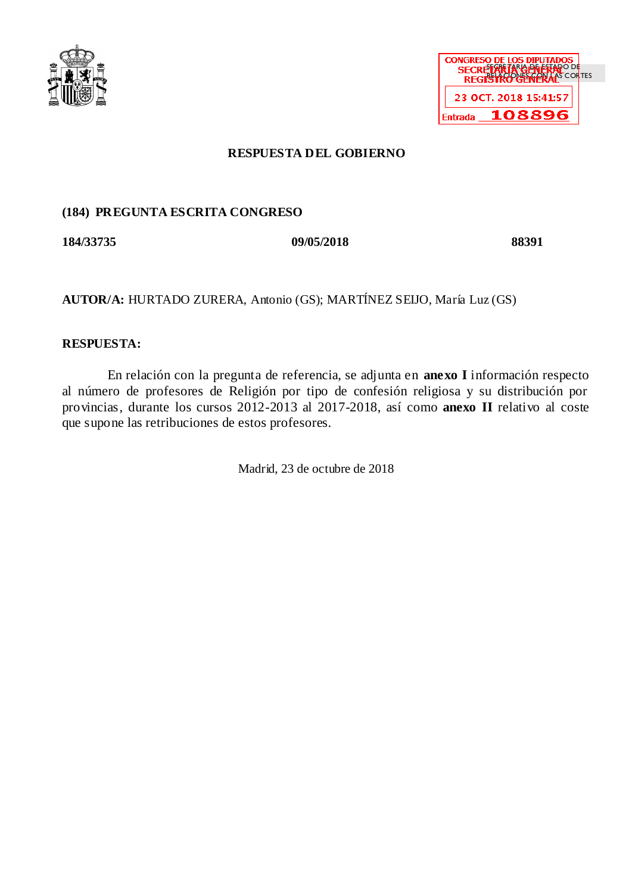



# **RESPUESTA DEL GOBIERNO**

# **(184) PREGUNTA ESCRITA CONGRESO**

**184/33735 09/05/2018 88391**

**AUTOR/A:** HURTADO ZURERA, Antonio (GS); MARTÍNEZ SEIJO, María Luz (GS)

# **RESPUESTA:**

En relación con la pregunta de referencia, se adjunta en **anexo I** información respecto al número de profesores de Religión por tipo de confesión religiosa y su distribución por provincias, durante los cursos 2012-2013 al 2017-2018, así como **anexo II** relativo al coste que supone las retribuciones de estos profesores.

Madrid, 23 de octubre de 2018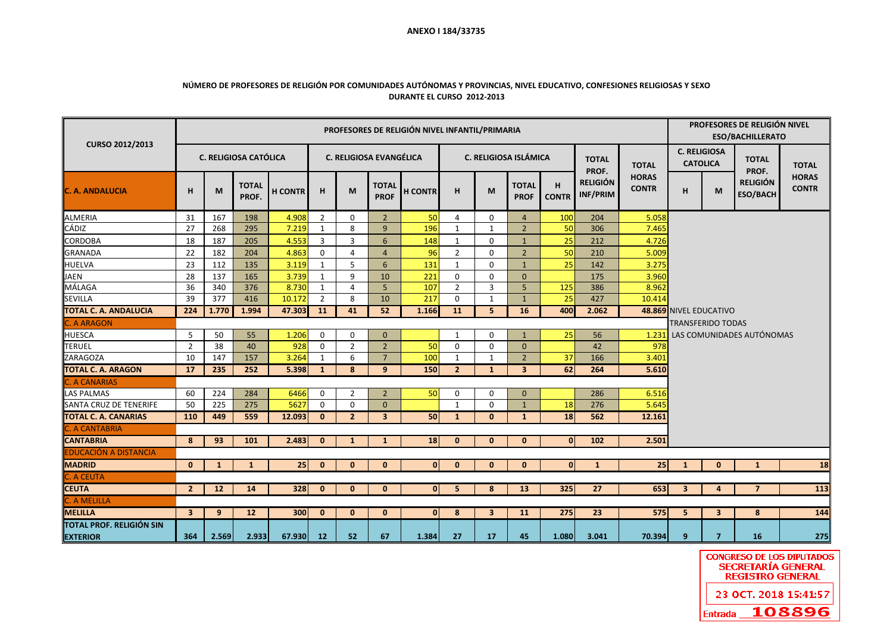## **ANEXO I 184/33735**

### **NÚMERO DE PROFESORES DE RELIGIÓN POR COMUNIDADES AUTÓNOMAS Y PROVINCIAS, NIVEL EDUCATIVO, CONFESIONES RELIGIOSAS Y SEXO DURANTE EL CURSO 2012-2013**

| CURSO 2012/2013                             | PROFESORES DE RELIGIÓN NIVEL INFANTIL/PRIMARIA |              |                              |                 |                |                |                                |                |                |                         |                             |                   |                             |                              | <b>PROFESORES DE RELIGIÓN NIVEL</b><br><b>ESO/BACHILLERATO</b> |                                                                                 |                |              |  |  |
|---------------------------------------------|------------------------------------------------|--------------|------------------------------|-----------------|----------------|----------------|--------------------------------|----------------|----------------|-------------------------|-----------------------------|-------------------|-----------------------------|------------------------------|----------------------------------------------------------------|---------------------------------------------------------------------------------|----------------|--------------|--|--|
|                                             |                                                |              | <b>C. RELIGIOSA CATÓLICA</b> |                 |                |                | <b>C. RELIGIOSA EVANGÉLICA</b> |                |                |                         | C. RELIGIOSA ISLÁMICA       |                   | <b>TOTAL</b><br>PROF.       | <b>TOTAL</b>                 |                                                                | <b>C. RELIGIOSA</b><br><b>TOTAL</b><br><b>CATOLICA</b><br>PROF.                 |                | <b>TOTAL</b> |  |  |
| C. A. ANDALUCIA                             | H                                              | M            | <b>TOTAL</b><br>PROF.        | <b>H CONTR</b>  | H              | M              | <b>TOTAL</b><br><b>PROF</b>    | <b>H CONTR</b> | н              | M                       | <b>TOTAL</b><br><b>PROF</b> | H<br><b>CONTR</b> | <b>RELIGIÓN</b><br>INF/PRIM | <b>HORAS</b><br><b>CONTR</b> | <b>RELIGIÓN</b><br>н<br>M<br><b>ESO/BACH</b>                   | <b>HORAS</b><br><b>CONTR</b>                                                    |                |              |  |  |
| <b>ALMERIA</b>                              | 31                                             | 167          | 198                          | 4.908           | $\overline{2}$ | $\mathbf 0$    | $\overline{2}$                 | 50             | 4              | $\mathbf 0$             | $\overline{4}$              | 100               | 204                         | 5.058                        |                                                                |                                                                                 |                |              |  |  |
| <b>CÁDIZ</b>                                | 27                                             | 268          | 295                          | 7.219           | 1              | 8              | 9                              | 196            | $\mathbf{1}$   | $\mathbf{1}$            | $\overline{2}$              | 50                | 306                         | 7.465                        |                                                                |                                                                                 |                |              |  |  |
| <b>CORDOBA</b>                              | 18                                             | 187          | 205                          | 4.553           | $\overline{3}$ | 3              | 6                              | 148            | 1              | 0                       | $\mathbf{1}$                | 25                | 212                         | 4.726                        |                                                                |                                                                                 |                |              |  |  |
| <b>GRANADA</b>                              | 22                                             | 182          | 204                          | 4.863           | $\mathbf 0$    | $\overline{4}$ | $\overline{4}$                 | 96             | $\overline{2}$ | $\mathbf 0$             | $\overline{2}$              | 50                | 210                         | 5.009                        |                                                                |                                                                                 |                |              |  |  |
| <b>HUELVA</b>                               | 23                                             | 112          | 135                          | 3.119           | 1              | 5              | 6                              | 131            | 1              | 0                       | $\mathbf{1}$                | 25                | 142                         | 3.275                        |                                                                |                                                                                 |                |              |  |  |
| <b>JAEN</b>                                 | 28                                             | 137          | 165                          | 3.739           | $\mathbf{1}$   | 9              | 10                             | 221            | 0              | $\mathbf 0$             | $\mathbf{0}$                |                   | 175                         | 3.960                        |                                                                |                                                                                 |                |              |  |  |
| MÁLAGA                                      | 36                                             | 340          | 376                          | 8.730           | 1              | $\overline{4}$ | 5                              | 107            | $\overline{2}$ | 3                       | 5                           | 125               | 386                         | 8.962                        |                                                                |                                                                                 |                |              |  |  |
| SEVILLA                                     | 39                                             | 377          | 416                          | 10.172          | $\overline{2}$ | 8              | 10                             | 217            | 0              | 1                       | $\mathbf{1}$                | 25                | 427                         | 10.414                       |                                                                |                                                                                 |                |              |  |  |
| <b>TOTAL C. A. ANDALUCIA</b>                | 224                                            | 1.770        | 1.994                        | 47.303          | 11             | 41             | 52                             | 1.166          | 11             | 5                       | 16                          | 400               | 2.062                       |                              |                                                                | 48.869 NIVEL EDUCATIVO<br><b>TRANSFERIDO TODAS</b><br>LAS COMUNIDADES AUTÓNOMAS |                |              |  |  |
| <b>C. A ARAGON</b>                          |                                                |              |                              |                 |                |                |                                |                |                |                         |                             |                   |                             |                              |                                                                |                                                                                 |                |              |  |  |
| <b>HUESCA</b>                               | 5                                              | 50           | 55                           | 1.206           | $\mathbf 0$    | 0              | $\mathbf{0}$                   |                | 1              | 0                       | $\mathbf{1}$                | 25                | 56                          | 1.231                        |                                                                |                                                                                 |                |              |  |  |
| <b>TERUEL</b>                               | $\overline{2}$                                 | 38           | 40                           | 928             | $\Omega$       | $\overline{2}$ | $\overline{2}$                 | 50             | 0              | 0                       | $\mathbf{0}$                |                   | 42                          | 978                          |                                                                |                                                                                 |                |              |  |  |
| ZARAGOZA                                    | 10                                             | 147          | 157                          | 3.264           | 1              | 6              | $\overline{7}$                 | 100            | $\mathbf{1}$   | 1                       | $\overline{2}$              | 37                | 166                         | 3.401                        |                                                                |                                                                                 |                |              |  |  |
| <b>TOTAL C. A. ARAGON</b>                   | 17                                             | 235          | 252                          | 5.398           | $\mathbf{1}$   | 8              | 9                              | 150            | $\overline{2}$ | $\mathbf{1}$            | $\overline{\mathbf{3}}$     | 62                | 264                         | 5.610                        |                                                                |                                                                                 |                |              |  |  |
| <b>C. A CANARIAS</b>                        |                                                |              |                              |                 |                |                |                                |                |                |                         |                             |                   |                             |                              |                                                                |                                                                                 |                |              |  |  |
| <b>LAS PALMAS</b>                           | 60                                             | 224          | 284                          | 6466            | $\mathbf 0$    | $\overline{2}$ | $\overline{2}$                 | 50             | 0              | 0                       | $\mathbf{0}$                |                   | 286                         | 6.516                        |                                                                |                                                                                 |                |              |  |  |
| <b>SANTA CRUZ DE TENERIFE</b>               | 50                                             | 225          | 275                          | 5627            | $\mathbf 0$    | $\mathbf 0$    | $\mathbf{0}$                   |                | $\mathbf{1}$   | 0                       | $\mathbf{1}$                | 18                | 276                         | 5.645                        |                                                                |                                                                                 |                |              |  |  |
| <b>TOTAL C. A. CANARIAS</b>                 | 110                                            | 449          | 559                          | 12.093          | $\mathbf{0}$   | $\overline{2}$ | $\overline{\mathbf{3}}$        | 50             | $\mathbf{1}$   | $\mathbf{0}$            | $\mathbf{1}$                | 18                | 562                         | 12.161                       |                                                                |                                                                                 |                |              |  |  |
| <b>C. A CANTABRIA</b>                       |                                                |              |                              |                 |                |                |                                |                |                |                         |                             |                   |                             |                              |                                                                |                                                                                 |                |              |  |  |
| <b>CANTABRIA</b>                            | 8                                              | 93           | 101                          | 2.483           | $\mathbf{0}$   | $\mathbf{1}$   | 1                              | 18             | $\bf{0}$       | $\bf{0}$                | $\mathbf{0}$                | $\mathbf{0}$      | 102                         | 2.501                        |                                                                |                                                                                 |                |              |  |  |
| <b>EDUCACIÓN A DISTANCIA</b>                |                                                |              |                              |                 |                |                |                                |                |                |                         |                             |                   |                             |                              |                                                                |                                                                                 |                |              |  |  |
| <b>MADRID</b>                               | $\mathbf{0}$                                   | $\mathbf{1}$ | $\mathbf{1}$                 | 25 <sup>1</sup> | $\mathbf{0}$   | $\mathbf{0}$   | $\mathbf{0}$                   | $\mathbf{0}$   | $\mathbf{0}$   | $\mathbf{0}$            | $\mathbf{0}$                | $\mathbf{0}$      | $\mathbf{1}$                | 25                           | $\mathbf{1}$                                                   | $\mathbf{0}$                                                                    | $\mathbf{1}$   | 18           |  |  |
| C. A CEUTA                                  |                                                |              |                              |                 |                |                |                                |                |                |                         |                             |                   |                             |                              |                                                                |                                                                                 |                |              |  |  |
| <b>CEUTA</b>                                | $\overline{2}$                                 | 12           | 14                           | 328             | $\mathbf{0}$   | $\mathbf{0}$   | $\mathbf{0}$                   | $\overline{0}$ | 5              | 8                       | 13                          | 325               | 27                          | 653                          | $\overline{\mathbf{3}}$                                        | 4                                                                               | $\overline{7}$ | 113          |  |  |
| <b>C. A MELILLA</b>                         |                                                |              |                              |                 |                |                |                                |                |                |                         |                             |                   |                             |                              |                                                                |                                                                                 |                |              |  |  |
| <b>MELILLA</b>                              | $\overline{\mathbf{3}}$                        | 9            | 12                           | 300             | $\mathbf{0}$   | $\mathbf{0}$   | $\mathbf{0}$                   | $\overline{0}$ | 8              | $\overline{\mathbf{3}}$ | <b>11</b>                   | 275               | 23                          | 575                          | 5                                                              | $\overline{\mathbf{3}}$                                                         | 8              | 144          |  |  |
| TOTAL PROF. RELIGIÓN SIN<br><b>EXTERIOR</b> | 364                                            | 2.569        | 2.933                        | 67.930          | 12             | 52             | 67                             | 1.384          | 27             | 17                      | 45                          | 1.080             | 3.041                       | 70.394                       | 9                                                              | $\overline{7}$                                                                  | 16             | 275          |  |  |

**CONGRESO DE LOS DIPUTADOS SECRETARÍA GENERAL REGISTRO GENERAL** 23 OCT. 2018 15:41:57 **Entrada 108896**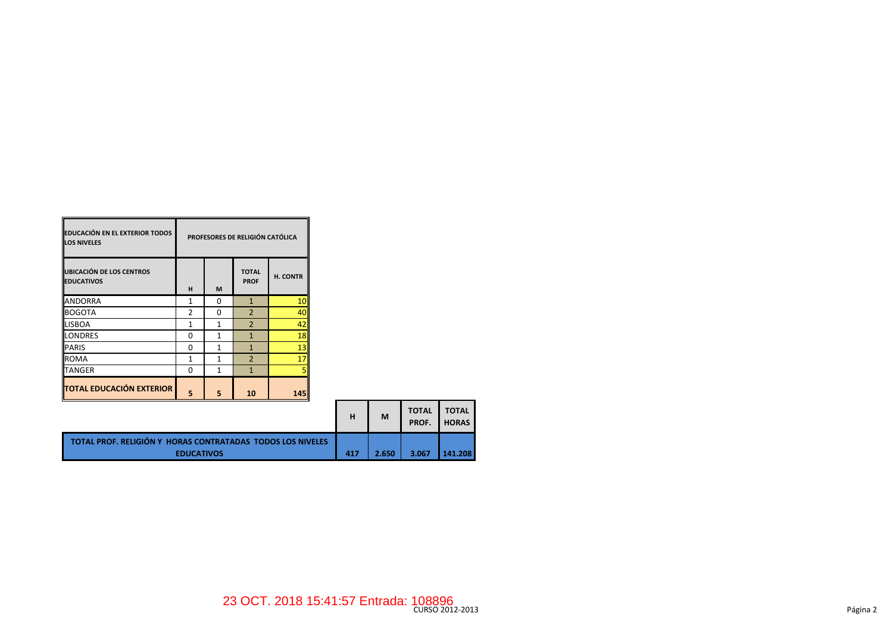| <b>EDUCACIÓN EN EL EXTERIOR TODOS</b><br><b>LOS NIVELES</b> | PROFESORES DE RELIGIÓN CATÓLICA |   |                             |          |  |  |  |  |
|-------------------------------------------------------------|---------------------------------|---|-----------------------------|----------|--|--|--|--|
| <b>UBICACIÓN DE LOS CENTROS</b><br><b>EDUCATIVOS</b>        | н                               | M | <b>TOTAL</b><br><b>PROF</b> | H. CONTR |  |  |  |  |
| <b>ANDORRA</b>                                              | 1                               | O | $\mathbf{1}$                | 10       |  |  |  |  |
| <b>BOGOTA</b>                                               | $\mathfrak{p}$                  | U | $\overline{2}$              | 40       |  |  |  |  |
| <b>LISBOA</b>                                               | 1                               | 1 | $\overline{2}$              | 42       |  |  |  |  |
| <b>LONDRES</b>                                              | ŋ                               | 1 | 1                           | 18       |  |  |  |  |
| <b>PARIS</b>                                                | ŋ                               | 1 | 1                           | 13       |  |  |  |  |
| <b>ROMA</b>                                                 | 1                               | 1 | $\overline{\phantom{0}}$    | 17       |  |  |  |  |
| <b>TANGER</b>                                               | 0                               | 1 | $\mathbf{1}$                |          |  |  |  |  |
| <b>TOTAL EDUCACIÓN EXTERIOR</b>                             | 5                               | 5 | 10                          | 145      |  |  |  |  |

 $\blacksquare$ 

|                                                                                 | н   | M     | <b>TOTAL</b><br>PROF. | <b>TOTAL</b><br><b>HORAS</b> |
|---------------------------------------------------------------------------------|-----|-------|-----------------------|------------------------------|
| TOTAL PROF. RELIGIÓN Y HORAS CONTRATADAS TODOS LOS NIVELES<br><b>EDUCATIVOS</b> | 417 | 2.650 | 3.067                 | 141.208                      |

ц,

 $\mathbf{r}$  and  $\mathbf{r}$  and  $\mathbf{r}$ 

۰,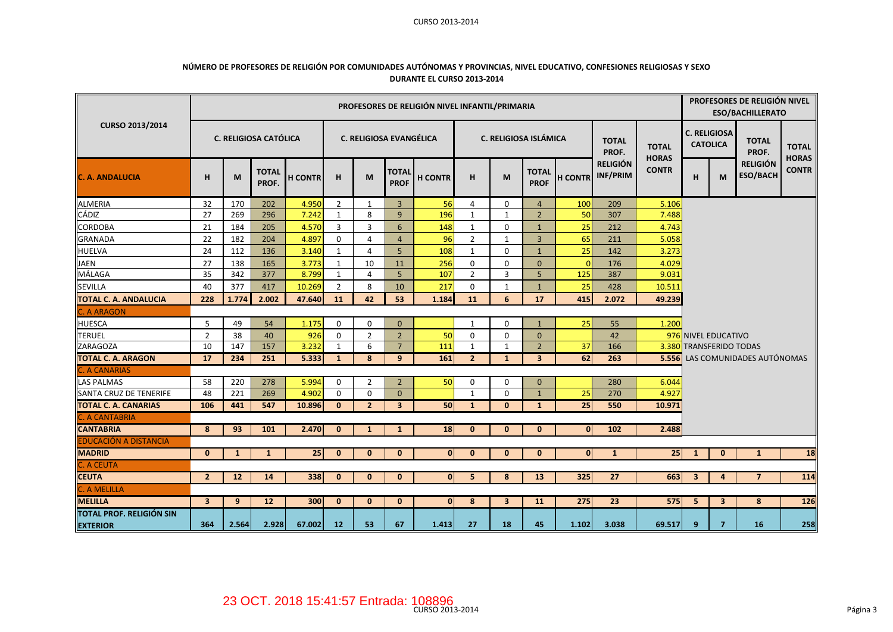#### CURSO 2013-2014

## **NÚMERO DE PROFESORES DE RELIGIÓN POR COMUNIDADES AUTÓNOMAS Y PROVINCIAS, NIVEL EDUCATIVO, CONFESIONES RELIGIOSAS Y SEXO DURANTE EL CURSO 2013-2014**

|                                                    | PROFESORES DE RELIGIÓN NIVEL INFANTIL/PRIMARIA |              |                       |                |                |                                |                             |                |                |                         |                             |                |                             | PROFESORES DE RELIGIÓN NIVEL<br><b>ESO/BACHILLERATO</b> |              |                                         |                                        |                              |
|----------------------------------------------------|------------------------------------------------|--------------|-----------------------|----------------|----------------|--------------------------------|-----------------------------|----------------|----------------|-------------------------|-----------------------------|----------------|-----------------------------|---------------------------------------------------------|--------------|-----------------------------------------|----------------------------------------|------------------------------|
| CURSO 2013/2014                                    |                                                |              | C. RELIGIOSA CATÓLICA |                |                | <b>C. RELIGIOSA EVANGÉLICA</b> |                             |                |                | C. RELIGIOSA ISLÁMICA   |                             |                | <b>TOTAL</b><br>PROF.       | <b>TOTAL</b><br><b>HORAS</b>                            |              | <b>C. RELIGIOSA</b><br><b>CATOLICA</b>  | <b>TOTAL</b><br>PROF.                  | <b>TOTAL</b><br><b>HORAS</b> |
| <b>C. A. ANDALUCIA</b>                             | н                                              | M            | <b>TOTAL</b><br>PROF. | <b>H CONTR</b> | H              | M                              | <b>TOTAL</b><br><b>PROF</b> | <b>H CONTR</b> | н              | M                       | <b>TOTAL</b><br><b>PROF</b> | <b>H CONTR</b> | <b>RELIGIÓN</b><br>INF/PRIM | <b>CONTR</b>                                            | H            | <b>RELIGIÓN</b><br><b>ESO/BACH</b><br>M | <b>CONTR</b>                           |                              |
| <b>ALMERIA</b>                                     | 32                                             | 170          | 202                   | 4.950          | $\overline{2}$ | 1                              | $\overline{3}$              | 56             | 4              | $\Omega$                | $\overline{4}$              | 100            | 209                         | 5.106                                                   |              |                                         |                                        |                              |
| CÁDIZ                                              | 27                                             | 269          | 296                   | 7.242          | 1              | 8                              | 9                           | 196            | $\mathbf{1}$   | $\mathbf{1}$            | $\overline{2}$              | 50             | 307                         | 7.488                                                   |              |                                         |                                        |                              |
| <b>CORDOBA</b>                                     | 21                                             | 184          | 205                   | 4.570          | 3              | 3                              | 6                           | 148            | $\mathbf{1}$   | 0                       | $\mathbf{1}$                | 25             | 212                         | 4.743                                                   |              |                                         |                                        |                              |
| <b>GRANADA</b>                                     | 22                                             | 182          | 204                   | 4.897          | $\Omega$       | $\overline{4}$                 | $\overline{4}$              | 96             | $\overline{2}$ | $\mathbf{1}$            | 3                           | 65             | 211                         | 5.058                                                   |              |                                         |                                        |                              |
| <b>HUELVA</b>                                      | 24                                             | 112          | 136                   | 3.140          | $\mathbf{1}$   | $\overline{4}$                 | 5                           | 108            | $\mathbf{1}$   | $\Omega$                | $\mathbf{1}$                | 25             | 142                         | 3.273                                                   |              |                                         |                                        |                              |
| <b>JAEN</b>                                        | 27                                             | 138          | 165                   | 3.773          | $\mathbf{1}$   | 10                             | 11                          | 256            | 0              | $\Omega$                | $\Omega$                    | $\Omega$       | 176                         | 4.029                                                   |              |                                         |                                        |                              |
| MÁLAGA                                             | 35                                             | 342          | 377                   | 8.799          | $\mathbf{1}$   | $\overline{4}$                 | 5                           | 107            | $\overline{2}$ | 3                       | 5                           | 125            | 387                         | 9.031                                                   |              |                                         |                                        |                              |
| <b>SEVILLA</b>                                     | 40                                             | 377          | 417                   | 10.269         | $\overline{2}$ | 8                              | 10                          | 217            | 0              | $\mathbf{1}$            | $\mathbf{1}$                | 25             | 428                         | 10.511                                                  |              |                                         |                                        |                              |
| <b>TOTAL C. A. ANDALUCIA</b>                       | 228                                            | 1.774        | 2.002                 | 47.640         | 11             | 42                             | 53                          | 1.184          | 11             | 6                       | 17                          | 415            | 2.072                       | 49.239                                                  |              |                                         |                                        |                              |
| . A ARAGON                                         |                                                |              |                       |                |                |                                |                             |                |                |                         |                             |                |                             |                                                         |              |                                         |                                        |                              |
| <b>HUESCA</b>                                      | 5                                              | 49           | 54                    | 1.175          | $\mathbf 0$    | 0                              | $\mathbf{0}$                |                | $\mathbf{1}$   | $\Omega$                | $\mathbf{1}$                | 25             | 55                          | 1.200                                                   |              |                                         |                                        |                              |
| <b>TERUEL</b>                                      | $\overline{2}$                                 | 38           | 40                    | 926            | 0              | $\overline{2}$                 | $\overline{2}$              | 50             | 0              | 0                       | $\mathbf 0$                 |                | 42                          |                                                         |              | 976 NIVEL EDUCATIVO                     |                                        |                              |
| <b>ZARAGOZA</b>                                    | 10                                             | 147          | 157                   | 3.232          | 1              | 6                              | $\overline{7}$              | 111            | $\mathbf{1}$   | 1                       | $\overline{2}$              | 37             | 166                         |                                                         |              | 3.380 TRANSFERIDO TODAS                 |                                        |                              |
| <b>TOTAL C. A. ARAGON</b>                          | 17                                             | 234          | 251                   | 5.333          | $\mathbf{1}$   | 8                              | 9                           | 161            | 2 <sup>2</sup> | $\mathbf{1}$            | 3                           | 62             | 263                         |                                                         |              |                                         | <b>5.556</b> LAS COMUNIDADES AUTÓNOMAS |                              |
| C. A CANARIAS                                      |                                                |              |                       |                |                |                                |                             |                |                |                         |                             |                |                             |                                                         |              |                                         |                                        |                              |
| <b>LAS PALMAS</b>                                  | 58                                             | 220          | 278                   | 5.994          | $\Omega$       | $\overline{2}$                 | $\overline{2}$              | 50             | 0              | $\Omega$                | $\Omega$                    |                | 280                         | 6.044                                                   |              |                                         |                                        |                              |
| SANTA CRUZ DE TENERIFE                             | 48                                             | 221          | 269                   | 4.902          | $\Omega$       | $\mathbf 0$                    | $\mathbf{0}$                |                | $\mathbf{1}$   | 0                       | $\mathbf{1}$                | 25             | 270                         | 4.927                                                   |              |                                         |                                        |                              |
| <b>TOTAL C. A. CANARIAS</b>                        | 106                                            | 441          | 547                   | 10.896         | $\mathbf{0}$   | $\overline{2}$                 | $\overline{\mathbf{3}}$     | 50             | $\mathbf{1}$   | $\bf{0}$                | $\mathbf{1}$                | 25             | 550                         | 10.971                                                  |              |                                         |                                        |                              |
| C. A CANTABRIA                                     |                                                |              |                       |                |                |                                |                             |                |                |                         |                             |                |                             |                                                         |              |                                         |                                        |                              |
| <b>CANTABRIA</b>                                   | 8                                              | 93           | 101                   | 2.470          | $\mathbf{0}$   | $\mathbf{1}$                   | $\mathbf{1}$                | 18             | $\mathbf{0}$   | $\mathbf{0}$            | $\mathbf{0}$                | $\mathbf{0}$   | 102                         | 2.488                                                   |              |                                         |                                        |                              |
| <b>EDUCACIÓN A DISTANCIA</b>                       |                                                |              |                       |                |                |                                |                             |                |                |                         |                             |                |                             |                                                         |              |                                         |                                        |                              |
| <b>MADRID</b>                                      | $\mathbf{0}$                                   | $\mathbf{1}$ | $\mathbf{1}$          | 25             | $\bf{0}$       | $\bf{0}$                       | $\mathbf{0}$                | $\mathbf{0}$   | $\bf{0}$       | $\mathbf{0}$            | $\mathbf{0}$                | 0              | $\mathbf{1}$                | 25                                                      | $\mathbf{1}$ | $\mathbf{0}$                            | $\mathbf{1}$                           | 18                           |
| C. A CEUTA                                         |                                                |              |                       |                |                |                                |                             |                |                |                         |                             |                |                             |                                                         |              |                                         |                                        |                              |
| <b>CEUTA</b>                                       | $\overline{2}$                                 | 12           | 14                    | 338            | $\mathbf{0}$   | $\mathbf{0}$                   | $\mathbf{0}$                | $\overline{0}$ | 5              | 8                       | 13                          | 325            | 27                          | 663                                                     | 3            | 4                                       | $\overline{7}$                         | 114                          |
| . A MELILLA                                        |                                                |              |                       |                |                |                                |                             |                |                |                         |                             |                |                             |                                                         |              |                                         |                                        |                              |
| <b>MELILLA</b>                                     | $\overline{\mathbf{3}}$                        | 9            | 12                    | 300            | $\mathbf{0}$   | $\mathbf{0}$                   | $\mathbf{0}$                | $\mathbf{0}$   | 8              | $\overline{\mathbf{3}}$ | <b>11</b>                   | 275            | 23                          | 575                                                     | 5            | 3                                       | 8                                      | 126                          |
| <b>TOTAL PROF. RELIGIÓN SIN</b><br><b>EXTERIOR</b> | 364                                            | 2.564        | 2.928                 | 67.002         | <b>12</b>      | 53                             | 67                          | 1.413          | 27             | 18                      | 45                          | 1.102          | 3.038                       | 69.517                                                  | 9            | $\overline{7}$                          | 16                                     | 258                          |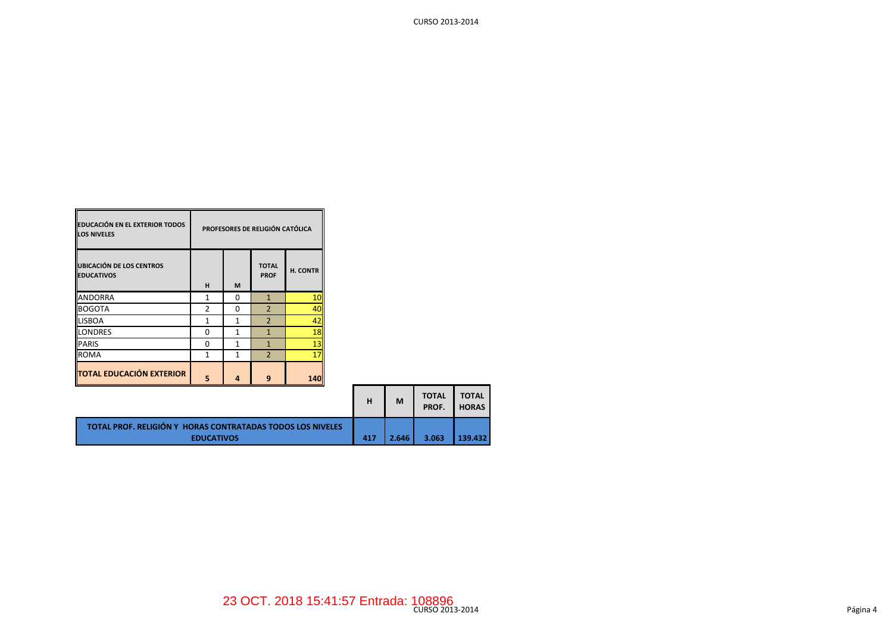| <b>EDUCACIÓN EN EL EXTERIOR TODOS</b><br><b>LOS NIVELES</b> | PROFESORES DE RELIGIÓN CATÓLICA |   |                             |          |  |  |  |  |  |
|-------------------------------------------------------------|---------------------------------|---|-----------------------------|----------|--|--|--|--|--|
| <b>UBICACIÓN DE LOS CENTROS</b><br><b>EDUCATIVOS</b>        | н                               | M | <b>TOTAL</b><br><b>PROF</b> | H. CONTR |  |  |  |  |  |
| <b>ANDORRA</b>                                              | $\mathbf{1}$                    | O | $\mathbf{1}$                | 10       |  |  |  |  |  |
| <b>BOGOTA</b>                                               | $\mathfrak z$                   | ŋ | $\overline{\phantom{0}}$    | 40       |  |  |  |  |  |
| <b>LISBOA</b>                                               | 1                               | 1 | $\overline{2}$              | 42       |  |  |  |  |  |
| <b>LONDRES</b>                                              | O                               | 1 | $\mathbf{1}$                | 18       |  |  |  |  |  |
| <b>PARIS</b>                                                | 0                               | 1 | $\mathbf{1}$                | 13       |  |  |  |  |  |
| <b>ROMA</b>                                                 | 1                               | 1 | $\overline{2}$              | 17       |  |  |  |  |  |
| <b>TOTAL EDUCACIÓN EXTERIOR</b>                             | 5                               | 4 | 9                           | 140      |  |  |  |  |  |

|                                                                                 | н   | M     | <b>TOTAL</b><br>PROF. | <b>TOTAL</b><br><b>HORAS</b> |
|---------------------------------------------------------------------------------|-----|-------|-----------------------|------------------------------|
| TOTAL PROF. RELIGIÓN Y HORAS CONTRATADAS TODOS LOS NIVELES<br><b>EDUCATIVOS</b> | 417 | 2.646 | 3.063                 | 139.432                      |

CURSO 2013-2014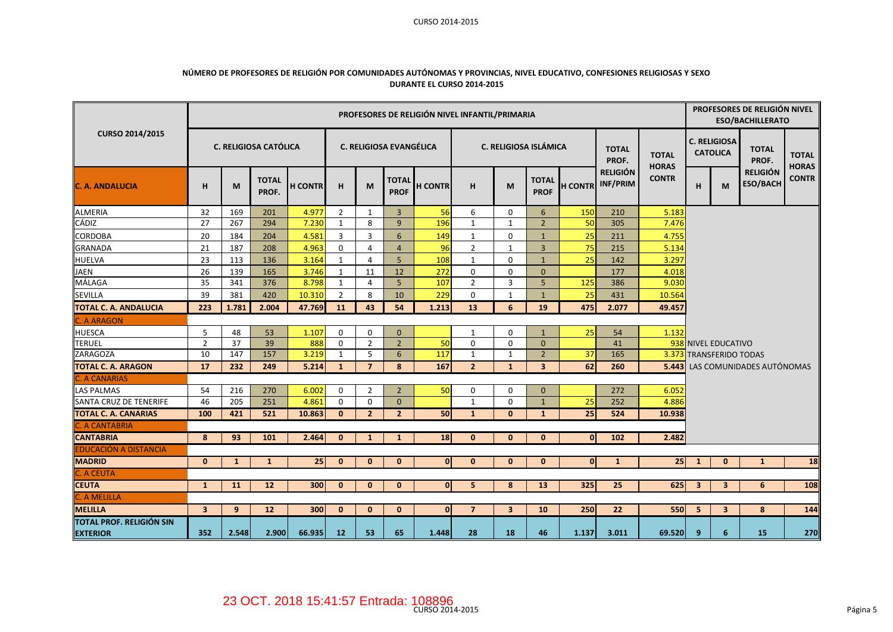#### CURSO 2014-2015

## **NÚMERO DE PROFESORES DE RELIGIÓN POR COMUNIDADES AUTÓNOMAS Y PROVINCIAS, NIVEL EDUCATIVO, CONFESIONES RELIGIOSAS Y SEXO DURANTE EL CURSO 2014-2015**

|                                                    | PROFESORES DE RELIGIÓN NIVEL INFANTIL/PRIMARIA |       |                              |                |                |                |                             |                |                |                         |                             |                |                             | PROFESORES DE RELIGIÓN NIVEL<br><b>ESO/BACHILLERATO</b> |     |                                        |                                        |                              |  |  |
|----------------------------------------------------|------------------------------------------------|-------|------------------------------|----------------|----------------|----------------|-----------------------------|----------------|----------------|-------------------------|-----------------------------|----------------|-----------------------------|---------------------------------------------------------|-----|----------------------------------------|----------------------------------------|------------------------------|--|--|
| CURSO 2014/2015                                    |                                                |       | <b>C. RELIGIOSA CATÓLICA</b> |                |                |                | C. RELIGIOSA EVANGÉLICA     |                |                | C. RELIGIOSA ISLÁMICA   |                             |                | <b>TOTAL</b><br>PROF.       | <b>TOTAL</b><br><b>HORAS</b>                            |     | <b>C. RELIGIOSA</b><br><b>CATOLICA</b> | <b>TOTAL</b><br>PROF.                  | <b>TOTAL</b><br><b>HORAS</b> |  |  |
| <b>C. A. ANDALUCIA</b>                             | н                                              | M     | <b>TOTAL</b><br>PROF.        | <b>H CONTR</b> | H              | M              | <b>TOTAL</b><br><b>PROF</b> | <b>H CONTR</b> | н              | M                       | <b>TOTAL</b><br><b>PROF</b> | <b>H CONTR</b> | <b>RELIGIÓN</b><br>INF/PRIM | <b>CONTR</b>                                            | H   | M                                      | <b>RELIGIÓN</b><br><b>ESO/BACH</b>     | <b>CONTR</b>                 |  |  |
| <b>ALMERIA</b>                                     | 32                                             | 169   | 201                          | 4.977          | 2              | 1              | $\overline{3}$              | 56             | 6              | $\mathbf 0$             | 6                           | 150            | 210                         | 5.183                                                   |     |                                        |                                        |                              |  |  |
| <b>CÁDIZ</b>                                       | 27                                             | 267   | 294                          | 7.230          | $\mathbf{1}$   | 8              | 9                           | 196            | $\mathbf{1}$   | $\mathbf{1}$            | $\overline{2}$              | 50             | 305                         | 7.476                                                   |     |                                        |                                        |                              |  |  |
| CORDOBA                                            | 20                                             | 184   | 204                          | 4.581          | 3              | 3              | 6                           | 149            | $\mathbf{1}$   | $\Omega$                | $\mathbf{1}$                | 25             | 211                         | 4.755                                                   |     |                                        |                                        |                              |  |  |
| <b>GRANADA</b>                                     | 21                                             | 187   | 208                          | 4.963          | 0              | 4              | $\overline{4}$              | 96             | $\overline{2}$ | $\mathbf{1}$            | $\overline{3}$              | 75             | 215                         | 5.134                                                   |     |                                        |                                        |                              |  |  |
| HUELVA                                             | 23                                             | 113   | 136                          | 3.164          | 1              | 4              | 5                           | 108            | $\mathbf{1}$   | $\Omega$                | $\mathbf{1}$                | 25             | 142                         | 3.297                                                   |     |                                        |                                        |                              |  |  |
| <b>JAEN</b>                                        | 26                                             | 139   | 165                          | 3.746          | 1              | 11             | 12                          | 272            | 0              | 0                       | $\mathbf{0}$                |                | 177                         | 4.018                                                   |     |                                        |                                        |                              |  |  |
| MÁLAGA                                             | 35                                             | 341   | 376                          | 8.798          | $\mathbf{1}$   | $\overline{4}$ | 5                           | 107            | $\overline{2}$ | 3                       | 5 <sup>5</sup>              | 125            | 386                         | 9.030                                                   |     |                                        |                                        |                              |  |  |
| <b>SEVILLA</b>                                     | 39                                             | 381   | 420                          | 10.310         | $\overline{2}$ | 8              | 10                          | 229            | $\pmb{0}$      | $\mathbf{1}$            | $\mathbf{1}$                | 25             | 431                         | 10.564                                                  |     |                                        |                                        |                              |  |  |
| <b>TOTAL C. A. ANDALUCIA</b>                       | 223                                            | 1.781 | 2.004                        | 47.769         | 11             | 43             | 54                          | 1.213          | 13             | 6                       | 19                          | 475            | 2.077                       | 49.457                                                  |     |                                        |                                        |                              |  |  |
| C. A ARAGON                                        |                                                |       |                              |                |                |                |                             |                |                |                         |                             |                |                             |                                                         |     |                                        |                                        |                              |  |  |
| <b>HUESCA</b>                                      | 5                                              | 48    | 53                           | 1.107          | $\Omega$       | $\Omega$       | $\mathbf{0}$                |                | 1              | 0                       | $\mathbf{1}$                | 25             | 54                          | 1.132                                                   |     |                                        |                                        |                              |  |  |
| <b>TERUEL</b>                                      | $\overline{2}$                                 | 37    | 39                           | 888            | $\mathbf 0$    | $\overline{2}$ | $\overline{2}$              | 50             | 0              | $\Omega$                | $\mathbf{0}$                |                | 41                          |                                                         |     | 938 NIVEL EDUCATIVO                    |                                        |                              |  |  |
| ZARAGOZA                                           | 10                                             | 147   | 157                          | 3.219          | 1              | 5              | 6                           | 117            | $\mathbf{1}$   | 1                       | $2^{\circ}$                 | 37             | 165                         |                                                         |     | 3.373 TRANSFERIDO TODAS                |                                        |                              |  |  |
| <b>TOTAL C. A. ARAGON</b>                          | 17                                             | 232   | 249                          | 5.214          | $\mathbf{1}$   | $\overline{7}$ | 8                           | 167            | $\overline{2}$ | $\mathbf{1}$            | $\overline{3}$              | 62             | 260                         |                                                         |     |                                        | <b>5.443</b> LAS COMUNIDADES AUTÓNOMAS |                              |  |  |
| C. A CANARIAS                                      |                                                |       |                              |                |                |                |                             |                |                |                         |                             |                |                             |                                                         |     |                                        |                                        |                              |  |  |
| <b>LAS PALMAS</b>                                  | 54                                             | 216   | 270                          | 6.002          | $\mathbf 0$    | $\overline{2}$ | $\overline{2}$              | 50             | 0              | 0                       | $\mathbf{0}$                |                | 272                         | 6.052                                                   |     |                                        |                                        |                              |  |  |
| SANTA CRUZ DE TENERIFE                             | 46                                             | 205   | 251                          | 4.861          | $\mathbf 0$    | 0              | $\mathbf{0}$                |                | $\mathbf{1}$   | $\Omega$                | $\mathbf{1}$                | 25             | 252                         | 4.886                                                   |     |                                        |                                        |                              |  |  |
| <b>TOTAL C. A. CANARIAS</b>                        | 100                                            | 421   | 521                          | 10.863         | $\Omega$       | $\overline{2}$ | $\overline{2}$              | 50             | $\mathbf{1}$   | $\mathbf{0}$            | $\mathbf{1}$                | 25             | 524                         | 10.938                                                  |     |                                        |                                        |                              |  |  |
| C. A CANTABRIA                                     |                                                |       |                              |                |                |                |                             |                |                |                         |                             |                |                             |                                                         |     |                                        |                                        |                              |  |  |
| <b>CANTABRIA</b>                                   | 8                                              | 93    | 101                          | 2.464          | $\Omega$       | $\mathbf{1}$   | 1                           | 18             | $\mathbf{0}$   | $\mathbf{0}$            | $\bf{0}$                    | $\mathbf{0}$   | 102                         | 2.482                                                   |     |                                        |                                        |                              |  |  |
| EDUCACIÓN A DISTANCIA                              |                                                |       |                              |                |                |                |                             |                |                |                         |                             |                |                             |                                                         |     |                                        |                                        |                              |  |  |
| <b>MADRID</b>                                      | $\mathbf{0}$                                   | 1     | 1                            | 25             | $\mathbf{0}$   | $\mathbf{0}$   | $\bf{0}$                    | $\mathbf{0}$   | $\mathbf{0}$   | $\mathbf{0}$            | $\bf{0}$                    | $\overline{0}$ | $\mathbf{1}$                | 25 <sub>1</sub>                                         | -1  | $\bf{0}$                               | $\mathbf{1}$                           | 18                           |  |  |
| C. A CEUTA                                         |                                                |       |                              |                |                |                |                             |                |                |                         |                             |                |                             |                                                         |     |                                        |                                        |                              |  |  |
| <b>CEUTA</b>                                       | $\mathbf{1}$                                   | 11    | 12                           | 300            | $\bf{0}$       | $\mathbf{0}$   | $\bf{0}$                    | $\mathbf{0}$   | 5              | 8                       | 13                          | 325            | 25                          | 625                                                     | 3   | 3                                      | 6                                      | 108                          |  |  |
| C. A MELILLA                                       |                                                |       |                              |                |                |                |                             |                |                |                         |                             |                |                             |                                                         |     |                                        |                                        |                              |  |  |
| <b>MELILLA</b>                                     | $\overline{\mathbf{3}}$                        | 9     | 12                           | 300            | $\mathbf{0}$   | $\mathbf{0}$   | $\mathbf{0}$                | $\mathbf{0}$   | $\overline{7}$ | $\overline{\mathbf{3}}$ | 10                          | 250            | 22                          | 550                                                     | - 5 | $\overline{\mathbf{3}}$                | 8                                      | 144                          |  |  |
| <b>TOTAL PROF. RELIGIÓN SIN</b><br><b>EXTERIOR</b> | 352                                            | 2.548 | 2.900                        | 66.935         | 12             | 53             | 65                          | 1.448          | 28             | 18                      | 46                          | 1.137          | 3.011                       | 69.520                                                  | 9   | 6                                      | 15                                     | 270                          |  |  |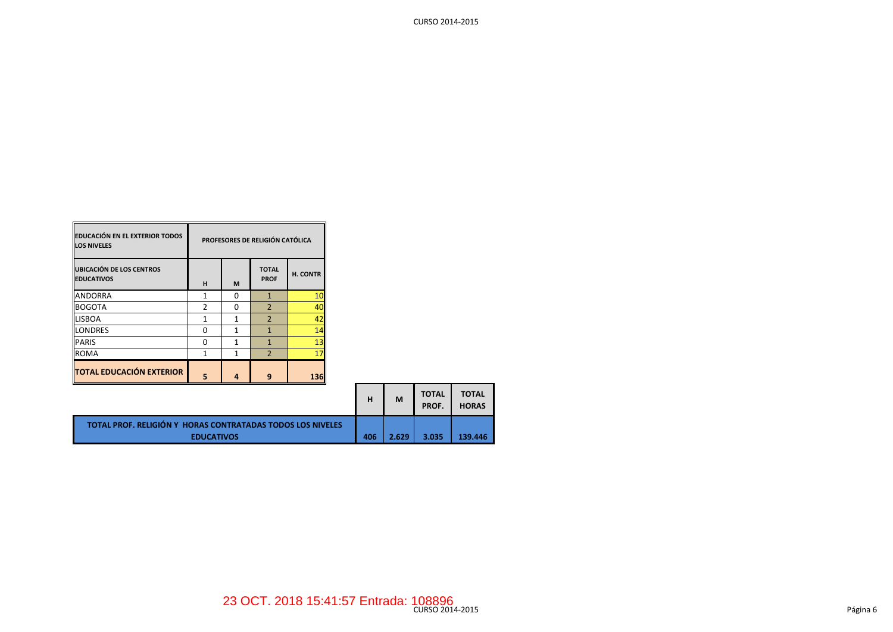| PARIS                                                      | 0   |       |       | 13 <sub>h</sub> |   |   |                       |                              |
|------------------------------------------------------------|-----|-------|-------|-----------------|---|---|-----------------------|------------------------------|
| <b>ROMA</b>                                                |     |       |       | 17 <sup>1</sup> |   |   |                       |                              |
| <b>TOTAL EDUCACIÓN EXTERIOR</b>                            | 5   | 4     | 9     | <b>136</b>      |   |   |                       |                              |
|                                                            |     |       |       |                 | н | M | <b>TOTAL</b><br>PROF. | <b>TOTAL</b><br><b>HORAS</b> |
| TOTAL PROF. RELIGIÓN Y HORAS CONTRATADAS TODOS LOS NIVELES | 406 | 2.629 | 3.035 | 139.446         |   |   |                       |                              |

**TOTAL PROF**

**PROFESORES DE RELIGIÓN CATÓLICA**

**H. CONTR**

**H M**

ANDORRA 1 0 1 10<br>BOGOTA 2 0 2 40 BOGOTA 2 0 2 40 LISBOA 1 1 1 2 <mark>42</mark> LONDRES 0 1 1 1 1 14

**EDUCACIÓN EN EL EXTERIOR TODOS** 

**UBICACIÓN DE LOS CENTROS** 

**LOS NIVELES**

**EDUCATIVOS**

CURSO 2014-2015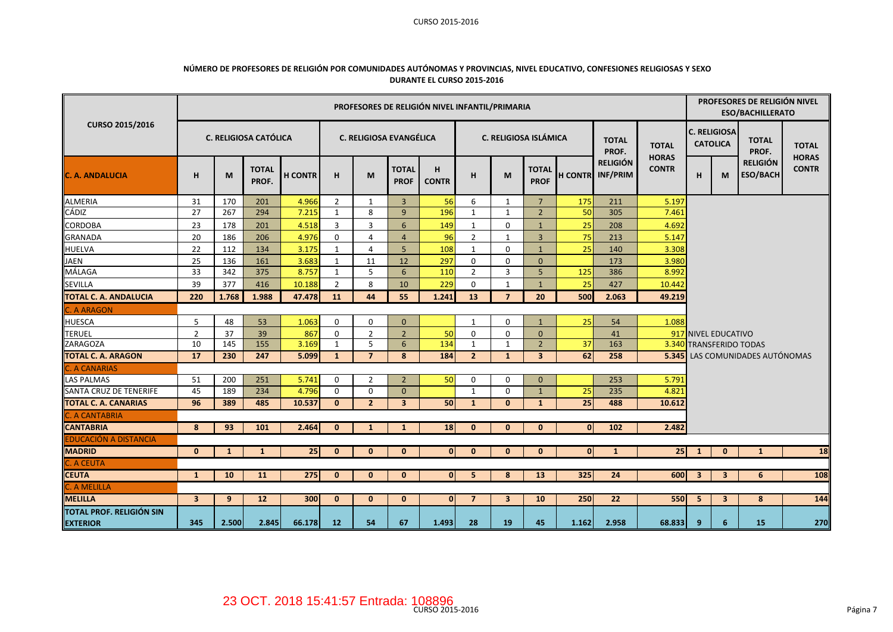#### CURSO 2015-2016

### **NÚMERO DE PROFESORES DE RELIGIÓN POR COMUNIDADES AUTÓNOMAS Y PROVINCIAS, NIVEL EDUCATIVO, CONFESIONES RELIGIOSAS Y SEXO DURANTE EL CURSO 2015-2016**

|                                                    | PROFESORES DE RELIGIÓN NIVEL INFANTIL/PRIMARIA |                |                              |                |                |                         |                             |                   |                |                         |                             |              |                                     |                              | PROFESORES DE RELIGIÓN NIVEL<br><b>ESO/BACHILLERATO</b> |                                        |                                    |                              |  |
|----------------------------------------------------|------------------------------------------------|----------------|------------------------------|----------------|----------------|-------------------------|-----------------------------|-------------------|----------------|-------------------------|-----------------------------|--------------|-------------------------------------|------------------------------|---------------------------------------------------------|----------------------------------------|------------------------------------|------------------------------|--|
| <b>CURSO 2015/2016</b>                             |                                                |                | <b>C. RELIGIOSA CATÓLICA</b> |                |                | C. RELIGIOSA EVANGÉLICA |                             |                   |                |                         | C. RELIGIOSA ISLÁMICA       |              | <b>TOTAL</b><br>PROF.               | <b>TOTAL</b><br><b>HORAS</b> |                                                         | <b>C. RELIGIOSA</b><br><b>CATOLICA</b> | <b>TOTAL</b><br>PROF.              | <b>TOTAL</b><br><b>HORAS</b> |  |
| <b>C. A. ANDALUCIA</b>                             | н                                              | M              | <b>TOTAL</b><br>PROF.        | <b>H CONTR</b> | H              | M                       | <b>TOTAL</b><br><b>PROF</b> | н<br><b>CONTR</b> | н              | M                       | <b>TOTAL</b><br><b>PROF</b> |              | <b>RELIGIÓN</b><br>H CONTR INF/PRIM | <b>CONTR</b>                 | н                                                       | M                                      | <b>RELIGIÓN</b><br><b>ESO/BACH</b> | <b>CONTR</b>                 |  |
| <b>ALMERIA</b>                                     | 31                                             | 170            | 201                          | 4.966          | $\overline{2}$ | 1                       | $\overline{3}$              | 56                | 6              | $\mathbf{1}$            | $7\overline{ }$             | 175          | 211                                 | 5.197                        |                                                         |                                        |                                    |                              |  |
| <b>CÁDIZ</b>                                       | 27                                             | 267            | 294                          | 7.215          | $\mathbf{1}$   | 8                       | $\overline{9}$              | 196               | $\mathbf{1}$   | 1                       | $\overline{2}$              | 50           | 305                                 | 7.461                        |                                                         |                                        |                                    |                              |  |
| <b>CORDOBA</b>                                     | 23                                             | 178            | 201                          | 4.518          | 3              | 3                       | 6                           | 149               | 1              | $\mathbf{0}$            | $\mathbf{1}$                | 25           | 208                                 | 4.692                        |                                                         |                                        |                                    |                              |  |
| <b>GRANADA</b>                                     | 20                                             | 186            | 206                          | 4.976          | 0              | 4                       | $\overline{4}$              | 96                | $\overline{2}$ | 1                       | $\overline{3}$              | 75           | 213                                 | 5.147                        |                                                         |                                        |                                    |                              |  |
| HUELVA                                             | 22                                             | 112            | 134                          | 3.175          | $\mathbf{1}$   | 4                       | 5 <sup>5</sup>              | 108               | 1              | $\mathbf{0}$            | $\mathbf{1}$                | 25           | 140                                 | 3.308                        |                                                         |                                        |                                    |                              |  |
| JAEN                                               | 25                                             | 136            | 161                          | 3.683          | $\mathbf{1}$   | 11                      | 12                          | 297               | $\mathbf 0$    | 0                       | $\mathbf{0}$                |              | 173                                 | 3.980                        |                                                         |                                        |                                    |                              |  |
| MÁLAGA                                             | 33                                             | 342            | 375                          | 8.757          | $\mathbf{1}$   | 5                       | 6                           | 110               | $\overline{2}$ | 3                       | 5                           | 125          | 386                                 | 8.992                        |                                                         |                                        |                                    |                              |  |
| <b>SEVILLA</b>                                     | 39                                             | 377            | 416                          | 10.188         | $\overline{2}$ | 8                       | 10                          | 229               | $\mathbf 0$    | $\mathbf{1}$            | $\mathbf{1}$                | 25           | 427                                 | 10.442                       |                                                         |                                        |                                    |                              |  |
| <b>TOTAL C. A. ANDALUCIA</b>                       | 220                                            | 1.768          | 1.988                        | 47.478         | 11             | 44                      | 55                          | 1.241             | 13             | $\overline{7}$          | 20                          | 500          | 2.063                               | 49.219                       |                                                         |                                        |                                    |                              |  |
| . A ARAGON                                         |                                                |                |                              |                |                |                         |                             |                   |                |                         |                             |              |                                     |                              |                                                         |                                        |                                    |                              |  |
| <b>HUESCA</b>                                      | 5                                              | 48             | 53                           | 1.063          | $\mathbf 0$    | 0                       | $\mathbf{0}$                |                   | 1              | $\mathbf 0$             | $\mathbf{1}$                | 25           | 54                                  | 1.088                        |                                                         |                                        |                                    |                              |  |
| <b>TERUEL</b>                                      | $\overline{2}$                                 | 37             | 39                           | 867            | $\mathbf 0$    | $\overline{2}$          | $\overline{2}$              | 50                | 0              | 0                       | $\mathbf{0}$                |              | 41                                  |                              |                                                         | 917 NIVEL EDUCATIVO                    |                                    |                              |  |
| <b>ZARAGOZA</b>                                    | 10                                             | 145            | 155                          | 3.169          | $\mathbf{1}$   | 5                       | 6                           | 134               | $\mathbf{1}$   | 1                       | $\overline{2}$              | 37           | 163                                 | 3.340                        |                                                         |                                        | <b>TRANSFERIDO TODAS</b>           |                              |  |
| <b>TOTAL C. A. ARAGON</b>                          | 17                                             | 230            | 247                          | 5.099          | $\mathbf{1}$   | $\overline{7}$          | 8                           | 184               | $\overline{2}$ | $\mathbf{1}$            | $\overline{\mathbf{3}}$     | 62           | 258                                 | 5.345                        |                                                         |                                        | LAS COMUNIDADES AUTÓNOMAS          |                              |  |
| C. A CANARIAS                                      |                                                |                |                              |                |                |                         |                             |                   |                |                         |                             |              |                                     |                              |                                                         |                                        |                                    |                              |  |
| <b>LAS PALMAS</b>                                  | 51                                             | 200            | 251                          | 5.741          | $\mathbf 0$    | $\overline{2}$          | $\overline{2}$              | 50                | $\mathbf 0$    | $\mathbf 0$             | $\Omega$                    |              | 253                                 | 5.791                        |                                                         |                                        |                                    |                              |  |
| <b>SANTA CRUZ DE TENERIFE</b>                      | 45                                             | 189            | 234                          | 4.796          | $\mathbf 0$    | 0                       | $\mathbf{0}$                |                   | $\mathbf{1}$   | $\mathbf 0$             | $\mathbf{1}$                | 25           | 235                                 | 4.821                        |                                                         |                                        |                                    |                              |  |
| <b>TOTAL C. A. CANARIAS</b>                        | 96                                             | 389            | 485                          | 10.537         | $\mathbf{0}$   | $\overline{2}$          | $\overline{\mathbf{3}}$     | 50                | $\mathbf{1}$   | $\mathbf{0}$            | $\mathbf{1}$                | 25           | 488                                 | 10.612                       |                                                         |                                        |                                    |                              |  |
| <b>C. A CANTABRIA</b>                              |                                                |                |                              |                |                |                         |                             |                   |                |                         |                             |              |                                     |                              |                                                         |                                        |                                    |                              |  |
| <b>CANTABRIA</b>                                   | 8                                              | 93             | 101                          | 2.464          | $\mathbf{0}$   | -1                      | 1                           | 18                | $\mathbf{0}$   | $\mathbf{0}$            | $\mathbf{0}$                | $\mathbf{0}$ | 102                                 | 2.482                        |                                                         |                                        |                                    |                              |  |
| EDUCACIÓN A DISTANCIA                              |                                                |                |                              |                |                |                         |                             |                   |                |                         |                             |              |                                     |                              |                                                         |                                        |                                    |                              |  |
| <b>MADRID</b>                                      | $\mathbf{0}$                                   | $\mathbf{1}$   | $\mathbf{1}$                 | 25             | $\mathbf 0$    | $\mathbf{0}$            | $\bf{0}$                    | 0                 | $\mathbf{0}$   | $\mathbf{0}$            | $\mathbf{0}$                | $\mathbf{0}$ | $\mathbf{1}$                        | 25                           | 1                                                       | $\bf{0}$                               | $\mathbf{1}$                       | 18                           |  |
| <b>C. A CEUTA</b>                                  |                                                |                |                              |                |                |                         |                             |                   |                |                         |                             |              |                                     |                              |                                                         |                                        |                                    |                              |  |
| <b>CEUTA</b>                                       | 1                                              | 10             | 11                           | 275            | $\mathbf{0}$   | $\mathbf{0}$            | $\mathbf{0}$                | $\mathbf{0}$      | 5              | 8                       | 13                          | 325          | 24                                  | 600                          | 3                                                       | 3                                      | 6                                  | 108                          |  |
| C. A MELILLA                                       |                                                |                |                              |                |                |                         |                             |                   |                |                         |                             |              |                                     |                              |                                                         |                                        |                                    |                              |  |
| <b>MELILLA</b>                                     | $\overline{\mathbf{3}}$                        | 9 <sup>°</sup> | 12                           | 300            | $\bf{0}$       | $\mathbf{0}$            | $\mathbf{0}$                | $\mathbf{0}$      | $\overline{7}$ | $\overline{\mathbf{3}}$ | 10                          | 250          | 22                                  | 550                          | 5                                                       | $\overline{\mathbf{3}}$                | 8                                  | 144                          |  |
| <b>TOTAL PROF. RELIGIÓN SIN</b><br><b>EXTERIOR</b> | 345                                            | 2.500          | 2.845                        | 66.178         | 12             | 54                      | 67                          | 1.493             | 28             | 19                      | 45                          | 1.162        | 2.958                               | 68.833                       | 9                                                       | 6                                      | <b>15</b>                          | 270                          |  |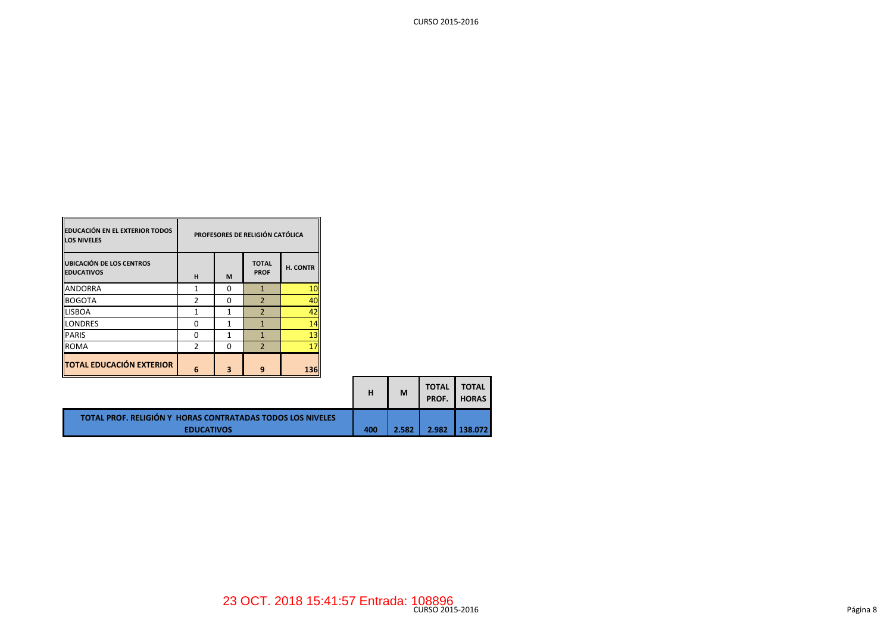| <b>EDUCACIÓN EN EL EXTERIOR TODOS</b><br><b>LOS NIVELES</b> | PROFESORES DE RELIGIÓN CATÓLICA |   |                             |          |  |  |  |  |
|-------------------------------------------------------------|---------------------------------|---|-----------------------------|----------|--|--|--|--|
| <b>UBICACIÓN DE LOS CENTROS</b><br><b>EDUCATIVOS</b>        | н                               | M | <b>TOTAL</b><br><b>PROF</b> | H. CONTR |  |  |  |  |
| <b>ANDORRA</b>                                              |                                 | ŋ |                             | 10       |  |  |  |  |
| <b>BOGOTA</b>                                               | 2                               | ŋ | $\overline{\phantom{0}}$    | 40       |  |  |  |  |
| <b>LISBOA</b>                                               |                                 | 1 | $\overline{2}$              | 42       |  |  |  |  |
| <b>LONDRES</b>                                              | ი                               |   |                             | 14       |  |  |  |  |
| <b>PARIS</b>                                                | ŋ                               |   |                             | 13       |  |  |  |  |
| <b>ROMA</b>                                                 | $\overline{2}$                  | ŋ | $\overline{\phantom{a}}$    | 17       |  |  |  |  |
| <b>TOTAL EDUCACIÓN EXTERIOR</b>                             | 6                               |   |                             | 136      |  |  |  |  |

 $\overline{\phantom{0}}$ 

Б

|                                                                                        | н   | M     | <b>TOTAL</b><br>PROF. | <b>TOTAL</b><br><b>HORAS</b> |
|----------------------------------------------------------------------------------------|-----|-------|-----------------------|------------------------------|
| <b>TOTAL PROF. RELIGIÓN Y HORAS CONTRATADAS TODOS LOS NIVELES</b><br><b>EDUCATIVOS</b> | 400 | 2.582 | 2.982                 | 138.072                      |

CURSO 2015-2016

**–** 

۰.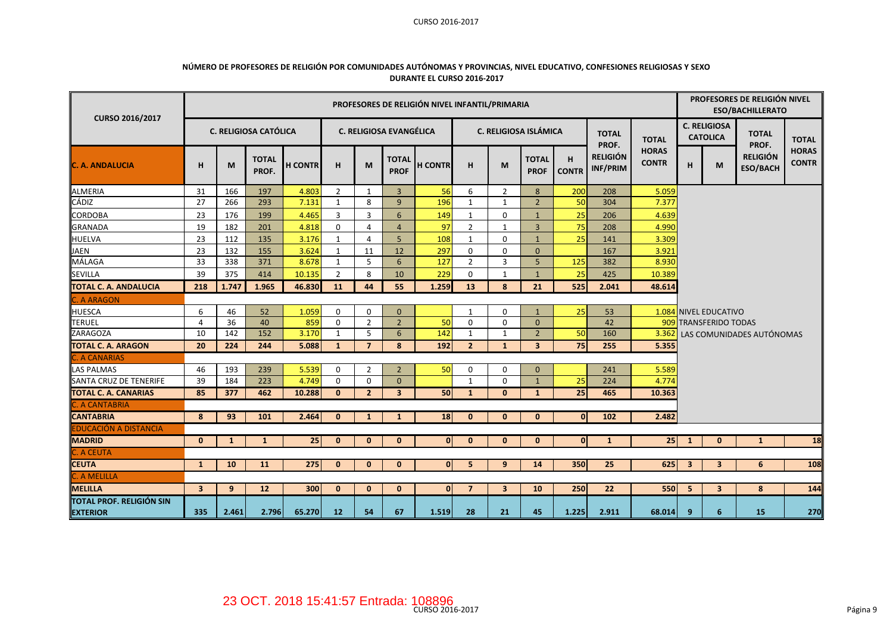### CURSO 2016-2017

| NÚMERO DE PROFESORES DE RELIGIÓN POR COMUNIDADES AUTÓNOMAS Y PROVINCIAS, NIVEL EDUCATIVO, CONFESIONES RELIGIOSAS Y SEXO |
|-------------------------------------------------------------------------------------------------------------------------|
| DURANTE EL CURSO 2016-2017                                                                                              |

| CURSO 2016/2017                                    |                         |              |                              |                |                |                |                                | PROFESORES DE RELIGIÓN NIVEL INFANTIL/PRIMARIA |                |                |                             |                   |                             |                              | PROFESORES DE RELIGIÓN NIVEL<br><b>ESO/BACHILLERATO</b> |                                        |                                    |                              |  |
|----------------------------------------------------|-------------------------|--------------|------------------------------|----------------|----------------|----------------|--------------------------------|------------------------------------------------|----------------|----------------|-----------------------------|-------------------|-----------------------------|------------------------------|---------------------------------------------------------|----------------------------------------|------------------------------------|------------------------------|--|
|                                                    |                         |              | <b>C. RELIGIOSA CATÓLICA</b> |                |                |                | <b>C. RELIGIOSA EVANGÉLICA</b> |                                                |                |                | C. RELIGIOSA ISLÁMICA       |                   | <b>TOTAL</b><br>PROF.       | <b>TOTAL</b>                 |                                                         | <b>C. RELIGIOSA</b><br><b>CATOLICA</b> | <b>TOTAL</b><br>PROF.              | <b>TOTAL</b>                 |  |
| <b>C. A. ANDALUCIA</b>                             | н                       | M            | <b>TOTAL</b><br>PROF.        | <b>H CONTR</b> | H              | M              | <b>TOTAL</b><br><b>PROF</b>    | <b>H CONTR</b>                                 | H              | M              | <b>TOTAL</b><br><b>PROF</b> | H<br><b>CONTR</b> | <b>RELIGIÓN</b><br>INF/PRIM | <b>HORAS</b><br><b>CONTR</b> | н                                                       | M                                      | <b>RELIGIÓN</b><br><b>ESO/BACH</b> | <b>HORAS</b><br><b>CONTR</b> |  |
| <b>ALMERIA</b>                                     | 31                      | 166          | 197                          | 4.803          | $\overline{2}$ | $\mathbf{1}$   | $\overline{3}$                 | 56                                             | 6              | $\overline{2}$ | 8                           | 200               | 208                         | 5.059                        |                                                         |                                        |                                    |                              |  |
| CÁDIZ                                              | 27                      | 266          | 293                          | 7.131          | $\mathbf{1}$   | 8              | 9                              | 196                                            | $\mathbf{1}$   | $\mathbf{1}$   | $\overline{2}$              | 50                | 304                         | 7.377                        |                                                         |                                        |                                    |                              |  |
| CORDOBA                                            | 23                      | 176          | 199                          | 4.465          | 3              | 3              | 6                              | 149                                            | $\mathbf{1}$   | $\mathbf 0$    | $\mathbf{1}$                | 25                | 206                         | 4.639                        |                                                         |                                        |                                    |                              |  |
| <b>GRANADA</b>                                     | 19                      | 182          | 201                          | 4.818          | 0              | 4              | $\overline{4}$                 | 97                                             | $\overline{2}$ | $\mathbf{1}$   | $\overline{3}$              | 75                | 208                         | 4.990                        |                                                         |                                        |                                    |                              |  |
| <b>HUELVA</b>                                      | 23                      | 112          | 135                          | 3.176          | $\mathbf{1}$   | $\overline{4}$ | 5                              | 108                                            | $\mathbf{1}$   | $\mathbf 0$    | $\mathbf{1}$                | 25                | 141                         | 3.309                        |                                                         |                                        |                                    |                              |  |
| <b>JAEN</b>                                        | 23                      | 132          | 155                          | 3.624          | 1              | 11             | 12                             | 297                                            | 0              | $\mathbf 0$    | $\mathbf{0}$                |                   | 167                         | 3.921                        |                                                         |                                        |                                    |                              |  |
| MÁLAGA                                             | 33                      | 338          | 371                          | 8.678          | $\mathbf{1}$   | 5              | 6                              | 127                                            | $\overline{2}$ | 3              | 5                           | 125               | 382                         | 8.930                        |                                                         |                                        |                                    |                              |  |
| <b>SEVILLA</b>                                     | 39                      | 375          | 414                          | 10.135         | $\overline{2}$ | 8              | 10                             | 229                                            | $\mathbf 0$    | $\mathbf{1}$   | $\mathbf{1}$                | 25                | 425                         | 10.389                       |                                                         |                                        |                                    |                              |  |
| <b>TOTAL C. A. ANDALUCIA</b>                       | 218                     | 1.747        | 1.965                        | 46.830         | 11             | 44             | 55                             | 1.259                                          | 13             | 8              | 21                          | 525               | 2.041                       | 48.614                       |                                                         |                                        |                                    |                              |  |
| <b>C. A ARAGON</b>                                 |                         |              |                              |                |                |                |                                |                                                |                |                |                             |                   |                             |                              |                                                         |                                        |                                    |                              |  |
| <b>HUESCA</b>                                      | 6                       | 46           | 52                           | 1.059          | $\mathbf 0$    | $\mathbf 0$    | $\mathbf{0}$                   |                                                | 1              | $\mathbf 0$    | $\mathbf{1}$                | 25                | 53                          |                              |                                                         | 1.084 NIVEL EDUCATIVO                  |                                    |                              |  |
| <b>TERUEL</b>                                      | $\overline{4}$          | 36           | 40                           | 859            | $\mathbf 0$    | $\overline{2}$ | $\overline{2}$                 | 50                                             | $\mathbf 0$    | $\mathbf 0$    | $\mathbf{0}$                |                   | 42                          |                              |                                                         | 909 TRANSFERIDO TODAS                  |                                    |                              |  |
| <b>ZARAGOZA</b>                                    | 10                      | 142          | 152                          | 3.170          | $\mathbf{1}$   | 5              | 6                              | 142                                            | $\mathbf{1}$   | 1              | $\overline{2}$              | 50                | 160                         | 3.362                        |                                                         |                                        | LAS COMUNIDADES AUTÓNOMAS          |                              |  |
| <b>TOTAL C. A. ARAGON</b>                          | 20                      | 224          | 244                          | 5.088          | $\mathbf{1}$   | $\overline{7}$ | 8                              | 192                                            | $\overline{2}$ | $\mathbf{1}$   | $\overline{\mathbf{3}}$     | 75                | 255                         | 5.355                        |                                                         |                                        |                                    |                              |  |
| <b>C. A CANARIAS</b>                               |                         |              |                              |                |                |                |                                |                                                |                |                |                             |                   |                             |                              |                                                         |                                        |                                    |                              |  |
| <b>LAS PALMAS</b>                                  | 46                      | 193          | 239                          | 5.539          | $\mathbf 0$    | $\overline{2}$ | $\overline{2}$                 | 50                                             | $\mathbf 0$    | $\Omega$       | $\Omega$                    |                   | 241                         | 5.589                        |                                                         |                                        |                                    |                              |  |
| SANTA CRUZ DE TENERIFE                             | 39                      | 184          | 223                          | 4.749          | $\mathbf 0$    | $\mathbf 0$    | $\Omega$                       |                                                | $\mathbf{1}$   | $\mathbf 0$    | $\mathbf{1}$                | 25                | 224                         | 4.774                        |                                                         |                                        |                                    |                              |  |
| <b>TOTAL C. A. CANARIAS</b>                        | 85                      | 377          | 462                          | 10.288         | $\mathbf{0}$   | $\overline{2}$ | $\overline{\mathbf{3}}$        | 50                                             | $\mathbf{1}$   | $\mathbf{0}$   | $\mathbf{1}$                | 25                | 465                         | 10.363                       |                                                         |                                        |                                    |                              |  |
| <b>C. A CANTABRIA</b>                              |                         |              |                              |                |                |                |                                |                                                |                |                |                             |                   |                             |                              |                                                         |                                        |                                    |                              |  |
| <b>CANTABRIA</b>                                   | 8                       | 93           | 101                          | 2.464          | $\mathbf{0}$   | $\mathbf{1}$   | $\mathbf{1}$                   | 18                                             | $\bf{0}$       | $\bf{0}$       | $\mathbf{0}$                | $\mathbf{0}$      | 102                         | 2.482                        |                                                         |                                        |                                    |                              |  |
| <b>EDUCACIÓN A DISTANCIA</b>                       |                         |              |                              |                |                |                |                                |                                                |                |                |                             |                   |                             |                              |                                                         |                                        |                                    |                              |  |
| <b>MADRID</b>                                      | $\mathbf{0}$            | $\mathbf{1}$ | 1                            | 25             | $\mathbf{0}$   | $\mathbf{0}$   | $\mathbf{0}$                   | $\mathbf{0}$                                   | $\mathbf{0}$   | $\mathbf{0}$   | $\mathbf{0}$                | $\mathbf{0}$      | $\mathbf{1}$                | 25                           | $\mathbf{1}$                                            | $\mathbf{0}$                           | $\mathbf{1}$                       | 18                           |  |
| C. A CEUTA                                         |                         |              |                              |                |                |                |                                |                                                |                |                |                             |                   |                             |                              |                                                         |                                        |                                    |                              |  |
| <b>CEUTA</b>                                       | $\mathbf{1}$            | 10           | 11                           | 275            | $\bf{0}$       | $\mathbf{0}$   | $\mathbf{0}$                   | $\mathbf{0}$                                   | 5              | 9              | 14                          | 350               | 25                          | 625                          | $\overline{\mathbf{3}}$                                 | $\overline{\mathbf{3}}$                | 6                                  | 108                          |  |
| C. A MELILLA                                       |                         |              |                              |                |                |                |                                |                                                |                |                |                             |                   |                             |                              |                                                         |                                        |                                    |                              |  |
| <b>MELILLA</b>                                     | $\overline{\mathbf{3}}$ | 9            | 12                           | 300            | $\mathbf{0}$   | $\mathbf{0}$   | $\mathbf{0}$                   | $\mathbf{0}$                                   | $\overline{7}$ | $\overline{3}$ | 10                          | 250               | 22                          | 550                          | 5                                                       | $\overline{\mathbf{3}}$                | 8                                  | 144                          |  |
| <b>TOTAL PROF. RELIGIÓN SIN</b><br><b>EXTERIOR</b> | 335                     | 2.461        | 2.796                        | 65.270         | 12             | 54             | 67                             | 1.519                                          | 28             | 21             | 45                          | 1.225             | 2.911                       | 68.014                       | 9                                                       | 6                                      | 15                                 | 270                          |  |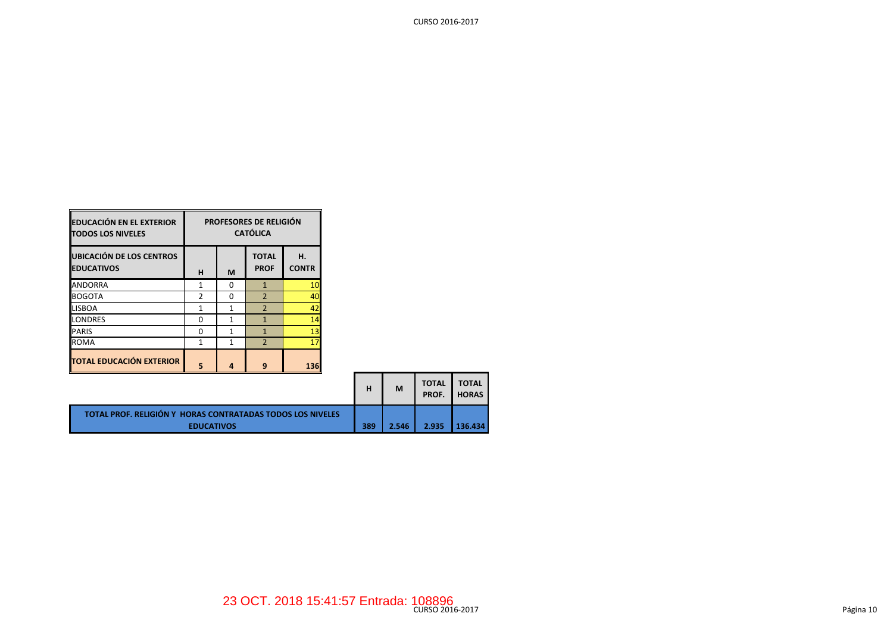| <b>EDUCACIÓN EN EL EXTERIOR</b><br><b>TODOS LOS NIVELES</b> | <b>PROFESORES DE RELIGIÓN</b><br><b>CATÓLICA</b> |   |                             |                    |  |  |  |  |
|-------------------------------------------------------------|--------------------------------------------------|---|-----------------------------|--------------------|--|--|--|--|
| UBICACIÓN DE LOS CENTROS<br><b>EDUCATIVOS</b>               | н                                                | M | <b>TOTAL</b><br><b>PROF</b> | н.<br><b>CONTR</b> |  |  |  |  |
| <b>ANDORRA</b>                                              |                                                  | O | 1                           | 10                 |  |  |  |  |
| <b>BOGOTA</b>                                               | 2                                                | O | $\overline{2}$              | 40                 |  |  |  |  |
| <b>LISBOA</b>                                               |                                                  | 1 | $\overline{\phantom{0}}$    | 42                 |  |  |  |  |
| LONDRES                                                     | n                                                | 1 | 1                           | 14                 |  |  |  |  |
| <b>PARIS</b>                                                | ŋ                                                | 1 | 1                           | 13                 |  |  |  |  |
| <b>ROMA</b>                                                 |                                                  | 1 | $\overline{2}$              | 17                 |  |  |  |  |
| <b>TOTAL EDUCACIÓN EXTERIOR</b>                             | 5                                                |   | 9                           | 136                |  |  |  |  |

═

 $\blacksquare$ 

|                                                                   | н   | M     | <b>TOTAL</b><br>PROF. | <b>TOTAL</b><br><b>HORAS</b> |
|-------------------------------------------------------------------|-----|-------|-----------------------|------------------------------|
| <b>TOTAL PROF. RELIGIÓN Y HORAS CONTRATADAS TODOS LOS NIVELES</b> |     |       |                       |                              |
| <b>EDUCATIVOS</b>                                                 | 389 | 2.546 | 2.935                 | 136.434                      |

5

CURSO 2016-2017

۰.

--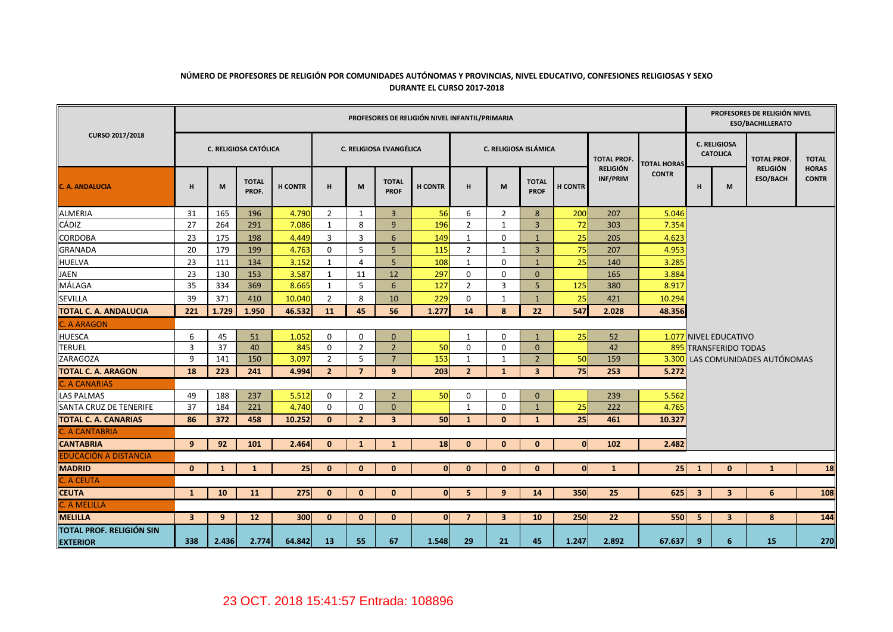## **NÚMERO DE PROFESORES DE RELIGIÓN POR COMUNIDADES AUTÓNOMAS Y PROVINCIAS, NIVEL EDUCATIVO, CONFESIONES RELIGIOSAS Y SEXO DURANTE EL CURSO 2017-2018**

|                                             |                         |              |                       |                |                |                |                                | PROFESORES DE RELIGIÓN NIVEL INFANTIL/PRIMARIA |                |                         |                             |                |                    |                    |                         |                                        | PROFESORES DE RELIGIÓN NIVEL<br><b>ESO/BACHILLERATO</b> |                                    |                              |
|---------------------------------------------|-------------------------|--------------|-----------------------|----------------|----------------|----------------|--------------------------------|------------------------------------------------|----------------|-------------------------|-----------------------------|----------------|--------------------|--------------------|-------------------------|----------------------------------------|---------------------------------------------------------|------------------------------------|------------------------------|
| <b>CURSO 2017/2018</b>                      |                         |              | C. RELIGIOSA CATÓLICA |                |                |                | <b>C. RELIGIOSA EVANGÉLICA</b> |                                                |                | C. RELIGIOSA ISLÁMICA   |                             |                | <b>TOTAL PROF.</b> | <b>TOTAL HORAS</b> |                         | <b>C. RELIGIOSA</b><br><b>CATOLICA</b> | <b>TOTAL PROF.</b>                                      | <b>TOTAL</b>                       |                              |
| C. A. ANDALUCIA                             | н                       | M            | <b>TOTAL</b><br>PROF. | <b>H CONTR</b> | н              | M              | <b>TOTAL</b><br><b>PROF</b>    | <b>H CONTR</b>                                 | H              | M                       | <b>TOTAL</b><br><b>PROF</b> | <b>H CONTR</b> | INF/PRIM           | <b>RELIGIÓN</b>    | <b>CONTR</b>            | н                                      | M                                                       | <b>RELIGIÓN</b><br><b>ESO/BACH</b> | <b>HORAS</b><br><b>CONTR</b> |
| ALMERIA                                     | 31                      | 165          | 196                   | 4.790          | $\overline{2}$ | 1              | $\overline{3}$                 | 56                                             | 6              | $\overline{2}$          | 8                           | 200            | 207                | 5.046              |                         |                                        |                                                         |                                    |                              |
| CÁDIZ                                       | 27                      | 264          | 291                   | 7.086          | 1              | 8              | 9                              | 196                                            | $\overline{2}$ | 1                       | $\overline{3}$              | 72             | 303                | 7.354              |                         |                                        |                                                         |                                    |                              |
| CORDOBA                                     | 23                      | 175          | 198                   | 4.449          | 3              | 3              | 6                              | 149                                            | 1              | $\Omega$                | $\mathbf{1}$                | 25             | 205                | 4.623              |                         |                                        |                                                         |                                    |                              |
| <b>GRANADA</b>                              | 20                      | 179          | 199                   | 4.763          | 0              | 5              | 5                              | 115                                            | $\overline{2}$ | $\mathbf{1}$            | $\overline{3}$              | 75             | 207                | 4.953              |                         |                                        |                                                         |                                    |                              |
| <b>HUELVA</b>                               | 23                      | 111          | 134                   | 3.152          | $\mathbf{1}$   | $\overline{4}$ | 5                              | 108                                            | 1              | $\mathbf 0$             | $\mathbf{1}$                | 25             | 140                | 3.285              |                         |                                        |                                                         |                                    |                              |
| <b>JAEN</b>                                 | 23                      | 130          | 153                   | 3.587          | $\mathbf{1}$   | 11             | 12                             | 297                                            | $\mathbf 0$    | $\mathbf 0$             | $\mathbf{0}$                |                | 165                | 3.884              |                         |                                        |                                                         |                                    |                              |
| MÁLAGA                                      | 35                      | 334          | 369                   | 8.665          | $\mathbf{1}$   | 5              | 6                              | 127                                            | $\overline{2}$ | 3                       | 5                           | 125            | 380                | 8.917              |                         |                                        |                                                         |                                    |                              |
| <b>SEVILLA</b>                              | 39                      | 371          | 410                   | 10.040         | $\overline{2}$ | 8              | 10                             | 229                                            | $\mathbf 0$    | 1                       | $\mathbf{1}$                | 25             | 421                | 10.294             |                         |                                        |                                                         |                                    |                              |
| TOTAL C. A. ANDALUCIA                       | 221                     | 1.729        | 1.950                 | 46.532         | 11             | 45             | 56                             | 1.277                                          | 14             | 8                       | 22                          | 547            | 2.028              | 48.356             |                         |                                        |                                                         |                                    |                              |
| C. A ARAGON                                 |                         |              |                       |                |                |                |                                |                                                |                |                         |                             |                |                    |                    |                         |                                        |                                                         |                                    |                              |
| <b>HUESCA</b>                               | 6                       | 45           | 51                    | 1.052          | 0              | $\mathbf 0$    | $\mathbf{0}$                   |                                                | 1              | $\mathbf 0$             | $\mathbf{1}$                | 25             | 52                 |                    |                         | 1.077 NIVEL EDUCATIVO                  |                                                         |                                    |                              |
| <b>TERUEL</b>                               | $\overline{3}$          | 37           | 40                    | 845            | 0              | $\overline{2}$ | $\overline{2}$                 | 50                                             | $\Omega$       | $\Omega$                | $\mathbf{0}$                |                | 42                 |                    |                         | 895 TRANSFERIDO TODAS                  |                                                         |                                    |                              |
| ZARAGOZA                                    | 9                       | 141          | 150                   | 3.097          | $\overline{2}$ | 5              | $\overline{7}$                 | 153                                            | $\mathbf{1}$   | 1                       | $\overline{2}$              | 50             | 159                |                    |                         |                                        | 3.300 LAS COMUNIDADES AUTÓNOMAS                         |                                    |                              |
| <b>TOTAL C. A. ARAGON</b>                   | 18                      | 223          | 241                   | 4.994          | $\overline{2}$ | $\overline{7}$ | 9                              | 203                                            | $\overline{2}$ | $\mathbf{1}$            | $\overline{\mathbf{3}}$     | 75             | 253                | 5.272              |                         |                                        |                                                         |                                    |                              |
| C. A CANARIAS                               |                         |              |                       |                |                |                |                                |                                                |                |                         |                             |                |                    |                    |                         |                                        |                                                         |                                    |                              |
| <b>LAS PALMAS</b>                           | 49                      | 188          | 237                   | 5.512          | 0              | $\overline{2}$ | $\overline{2}$                 | 50                                             | $\mathbf 0$    | $\Omega$                | $\Omega$                    |                | 239                | 5.562              |                         |                                        |                                                         |                                    |                              |
| SANTA CRUZ DE TENERIFE                      | 37                      | 184          | 221                   | 4.740          | $\Omega$       | $\Omega$       | $\mathbf{0}$                   |                                                | 1              | $\Omega$                | $\mathbf{1}$                | 25             | 222                | 4.765              |                         |                                        |                                                         |                                    |                              |
| <b>TOTAL C. A. CANARIAS</b>                 | 86                      | 372          | 458                   | 10.252         | $\mathbf{0}$   | 2 <sup>2</sup> | $\overline{\mathbf{3}}$        | 50                                             | $\mathbf{1}$   | $\mathbf{0}$            | $\mathbf{1}$                | 25             | 461                | 10.327             |                         |                                        |                                                         |                                    |                              |
| C. A CANTABRIA                              |                         |              |                       |                |                |                |                                |                                                |                |                         |                             |                |                    |                    |                         |                                        |                                                         |                                    |                              |
| <b>CANTABRIA</b>                            | 9                       | 92           | 101                   | 2.464          | $\mathbf{0}$   | 1              | $\mathbf{1}$                   | 18                                             | $\mathbf{0}$   | $\mathbf{0}$            | $\mathbf{0}$                | $\mathbf{0}$   | 102                | 2.482              |                         |                                        |                                                         |                                    |                              |
| EDUCACIÓN A DISTANCIA                       |                         |              |                       |                |                |                |                                |                                                |                |                         |                             |                |                    |                    |                         |                                        |                                                         |                                    |                              |
| <b>MADRID</b>                               | $\mathbf{0}$            | $\mathbf{1}$ | 1                     | 25             | $\mathbf{0}$   | $\mathbf{0}$   | $\mathbf{0}$                   | $\mathbf{0}$                                   | $\mathbf{0}$   | $\mathbf{0}$            | $\mathbf{0}$                | $\mathbf{0}$   | $\mathbf{1}$       | 25                 | $\mathbf{1}$            | $\mathbf{0}$                           | $\mathbf{1}$                                            | 18                                 |                              |
| C. A CEUTA                                  |                         |              |                       |                |                |                |                                |                                                |                |                         |                             |                |                    |                    |                         |                                        |                                                         |                                    |                              |
| <b>CEUTA</b>                                | $\mathbf{1}$            | 10           | 11                    | 275            | $\mathbf{0}$   | $\mathbf{0}$   | $\mathbf{0}$                   | $\mathbf{0}$                                   | 5              | 9                       | 14                          | 350            | 25                 | 625                | $\overline{\mathbf{3}}$ | $\overline{\mathbf{3}}$                | 6                                                       | 108                                |                              |
| C. A MELILLA                                |                         |              |                       |                |                |                |                                |                                                |                |                         |                             |                |                    |                    |                         |                                        |                                                         |                                    |                              |
| <b>MELILLA</b>                              | $\overline{\mathbf{3}}$ | 9            | 12                    | 300            | $\mathbf{0}$   | $\mathbf{0}$   | $\mathbf{0}$                   | $\mathbf{0}$                                   | $\overline{7}$ | $\overline{\mathbf{3}}$ | 10                          | 250            | 22                 | 550                | 5                       | $\overline{\mathbf{3}}$                | 8                                                       | 144                                |                              |
| TOTAL PROF. RELIGIÓN SIN<br><b>EXTERIOR</b> | 338                     | 2.436        | 2.774                 | 64.842         | 13             | 55             | 67                             | 1.548                                          | 29             | 21                      | 45                          | 1.247          | 2.892              | 67.637             | 9                       | 6                                      | 15                                                      | 270                                |                              |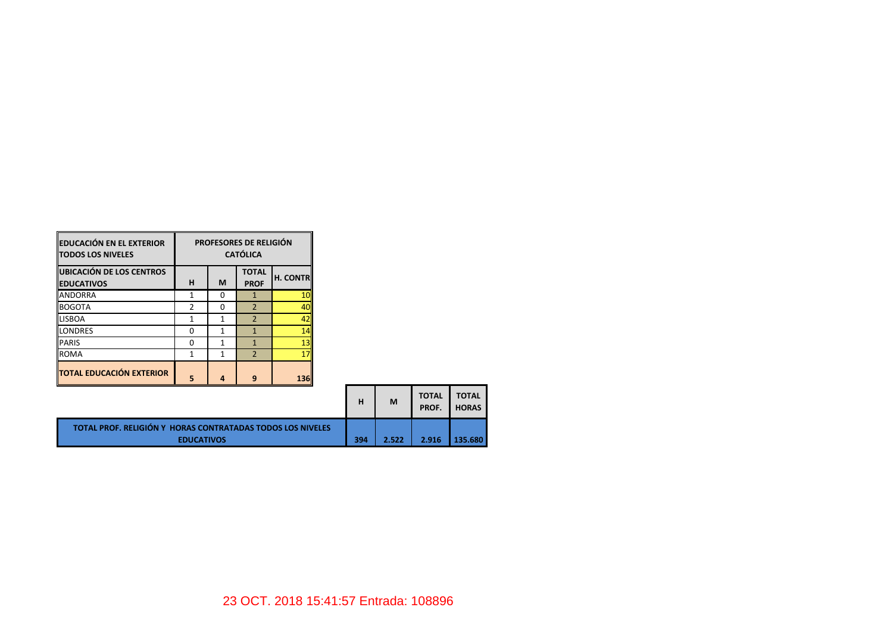| <b>EDUCACIÓN EN EL EXTERIOR</b><br><b>TODOS LOS NIVELES</b> | <b>PROFESORES DE RELIGIÓN</b><br><b>CATÓLICA</b> |   |                             |                 |  |  |  |  |
|-------------------------------------------------------------|--------------------------------------------------|---|-----------------------------|-----------------|--|--|--|--|
| UBICACIÓN DE LOS CENTROS<br><b>EDUCATIVOS</b>               | н                                                | M | <b>TOTAL</b><br><b>PROF</b> | <b>H. CONTR</b> |  |  |  |  |
| <b>ANDORRA</b>                                              | 1                                                | ŋ | 1                           | 10              |  |  |  |  |
| <b>BOGOTA</b>                                               | 2                                                | ŋ | $\overline{2}$              | 40              |  |  |  |  |
| <b>LISBOA</b>                                               |                                                  | 1 | $\overline{2}$              | 42              |  |  |  |  |
| <b>LONDRES</b>                                              | n                                                | 1 | $\mathbf{1}$                | 14              |  |  |  |  |
| <b>PARIS</b>                                                | n                                                | 1 | 1                           | 13              |  |  |  |  |
| <b>ROMA</b>                                                 |                                                  | 1 | $\overline{2}$              | 17              |  |  |  |  |
| <b>TOTAL EDUCACIÓN EXTERIOR</b>                             | 5                                                | 4 | 9                           | 136             |  |  |  |  |

|                                                                                        | н   | M     | <b>TOTAL</b><br>PROF. | <b>TOTAL</b><br><b>HORAS</b> |
|----------------------------------------------------------------------------------------|-----|-------|-----------------------|------------------------------|
| <b>TOTAL PROF. RELIGIÓN Y HORAS CONTRATADAS TODOS LOS NIVELES</b><br><b>EDUCATIVOS</b> | 394 | 2.522 | 2.916                 | 135.680                      |

<u> Tanzania de la pro</u>

and the state of the

<u>a sa Bara</u>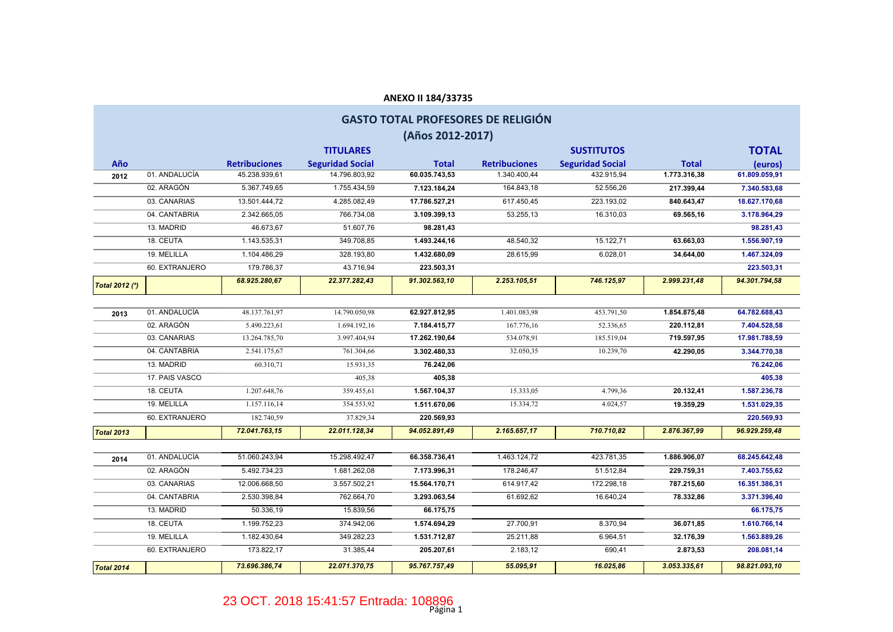# **Retribuciones Seguridad Social Total Retribuciones Seguridad Social Total 2012** 01. ANDALUCÍA 45.238.939,61 14.796.803,92 **60.035.743,53** 1.340.400,44 432.915,94 **1.773.316,38 61.809.059,91** 02. ARAGÓN 5.367.749,65 1.755.434,59 **7.123.184,24** 164.843,18 52.556,26 **217.399,44 7.340.583,68** 03. CANARIAS 13.501.444,72 4.285.082,49 **17.786.527,21** 617.450,45 223.193,02 **840.643,47 18.627.170,68** 04. CANTABRIA 2.342.665,05 766.734,08 **3.109.399,13** 53.255,13 16.310,03 **69.565,16 3.178.964,29** 13. MADRID 46.673,67 51.607,76 **98.281,43 98.281,43** 18. CEUTA 1.143.535,31 349.708,85 **1.493.244,16** 48.540,32 15.122,71 **63.663,03 1.556.907,19** 19. MELILLA 1.104.486,29 328.193,80 **1.432.680,09** 28.615,99 6.028,01 **34.644,00 1.467.324,09** 60. EXTRANJERO 179.786,37 43.716,94 **223.503,31 223.503,31** *Total 2012 (\*) 68.925.280,67 22.377.282,43 91.302.563,10 2.253.105,51 746.125,97 2.999.231,48 94.301.794,58* **2013** 01. ANDALUCÍA 48.137.761,97 14.790.050,98 **62.927.812,95** 1.401.083,98 453.791,50 **1.854.875,48 64.782.688,43** 02. ARAGÓN 5.490.223,61 1.694.192,16 **7.184.415,77** 167.776,16 52.336,65 **220.112,81 7.404.528,58** 03. CANARIAS 13.264.785,70 3.997.404,94 **17.262.190,64** 534.078,91 185.519,04 **719.597,95 17.981.788,59** 04. CANTABRIA 2.541.175,67 761.304,66 **3.302.480,33** 32.050,35 10.239,70 **42.290,05 3.344.770,38** 13. MADRID 60.310,71 15.931,35 **76.242,06 76.242,06** 17. PAIS VASCO 405,38 **405,38 405,38** 18. CEUTA 1.207.648,76 359.455,61 **1.567.104,37** 15.333,05 4.799,36 **20.132,41 1.587.236,78** 19. MELILLA 1.157.116,14 354.553,92 **1.511.670,06** 15.334,72 4.024,57 **19.359,29 1.531.029,35** 60. EXTRANJERO 182.740,59 37.829,34 **220.569,93 220.569,93** *Total 2013 72.041.763,15 22.011.128,34 94.052.891,49 2.165.657,17 710.710,82 2.876.367,99 96.929.259,48* **2014** 01. ANDALUCÍA 51.060.243,94 15.298.492,47 **66.358.736,41** 1.463.124,72 423.781,35 **1.886.906,07 68.245.642,48** 02. ARAGÓN 5.492.734,23 1.681.262,08 **7.173.996,31** 178.246,47 51.512,84 **229.759,31 7.403.755,62** 03. CANARIAS 12.006.668,50 3.557.502,21 **15.564.170,71** 614.917,42 172.298,18 **787.215,60 16.351.386,31** 04. CANTABRIA 2.530.398,84 762.664,70 **3.293.063,54** 61.692,62 16.640,24 **78.332,86 3.371.396,40** 13. MADRID 50.336,19 15.839,56 **66.175,75 66.175,75** 18. CEUTA 1.199.752,23 374.942,06 **1.574.694,29** 27.700,91 8.370,94 **36.071,85 1.610.766,14** 19. MELILLA 1.182.430,64 349.282,23 **1.531.712,87** 25.211,88 6.964,51 **32.176,39 1.563.889,26** 60. EXTRANJERO 173.822,17 31.385,44 **205.207,61** 2.183,12 690,41 **2.873,53 208.081,14** *Total 2014 73.696.386,74 22.071.370,75 95.767.757,49 55.095,91 16.025,86 3.053.335,61 98.821.093,10* **ANEXO II 184/33735 GASTO TOTAL PROFESORES DE RELIGIÓN (Años 2012-2017) Año TITULARES SUSTITUTOS TOTAL (euros)**

#### Página 1 23 OCT. 2018 15:41:57 Entrada: 108896